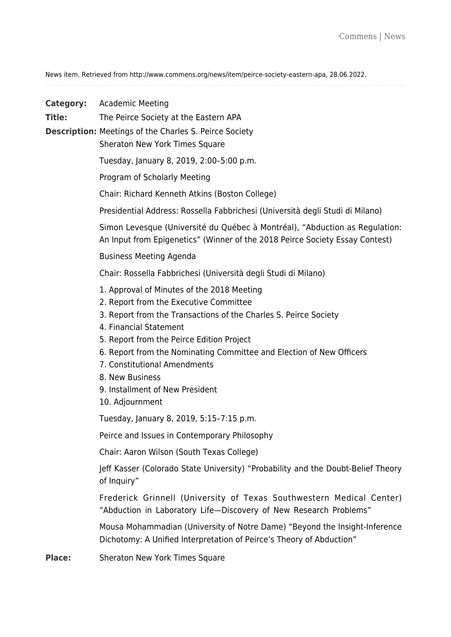News item. Retrieved from http://www.commens.org/news/item/peirce-society-eastern-apa, 28.06.2022.

| <b>Category:</b><br>Title: | Academic Meeting<br>The Peirce Society at the Eastern APA<br><b>Description:</b> Meetings of the Charles S. Peirce Society<br>Sheraton New York Times Square |
|----------------------------|--------------------------------------------------------------------------------------------------------------------------------------------------------------|
|                            | Tuesday, January 8, 2019, 2:00-5:00 p.m.                                                                                                                     |
|                            | Program of Scholarly Meeting                                                                                                                                 |
|                            | Chair: Richard Kenneth Atkins (Boston College)                                                                                                               |
|                            | Presidential Address: Rossella Fabbrichesi (Università degli Studi di Milano)                                                                                |
|                            | Simon Levesque (Université du Québec à Montréal), "Abduction as Regulation:<br>An Input from Epigenetics" (Winner of the 2018 Peirce Society Essay Contest)  |
|                            | <b>Business Meeting Agenda</b>                                                                                                                               |
|                            | Chair: Rossella Fabbrichesi (Università degli Studi di Milano)                                                                                               |
|                            | 1. Approval of Minutes of the 2018 Meeting<br>2. Report from the Executive Committee                                                                         |
|                            | 3. Report from the Transactions of the Charles S. Peirce Society<br>4. Financial Statement                                                                   |
|                            | 5. Report from the Peirce Edition Project<br>6. Report from the Nominating Committee and Election of New Officers                                            |
|                            | 7. Constitutional Amendments                                                                                                                                 |
|                            | 8. New Business<br>9. Installment of New President                                                                                                           |
|                            | 10. Adjournment                                                                                                                                              |
|                            | Tuesday, January 8, 2019, 5:15-7:15 p.m.                                                                                                                     |
|                            | Peirce and Issues in Contemporary Philosophy                                                                                                                 |
|                            | Chair: Aaron Wilson (South Texas College)                                                                                                                    |
|                            | Jeff Kasser (Colorado State University) "Probability and the Doubt-Belief Theory<br>of Inquiry"                                                              |
|                            | Frederick Grinnell (University of Texas Southwestern Medical Center)<br>"Abduction in Laboratory Life-Discovery of New Research Problems"                    |
|                            | Mousa Mohammadian (University of Notre Dame) "Beyond the Insight-Inference<br>Dichotomy: A Unified Interpretation of Peirce's Theory of Abduction"           |
| <b>Place:</b>              | Sheraton New York Times Square                                                                                                                               |
|                            |                                                                                                                                                              |